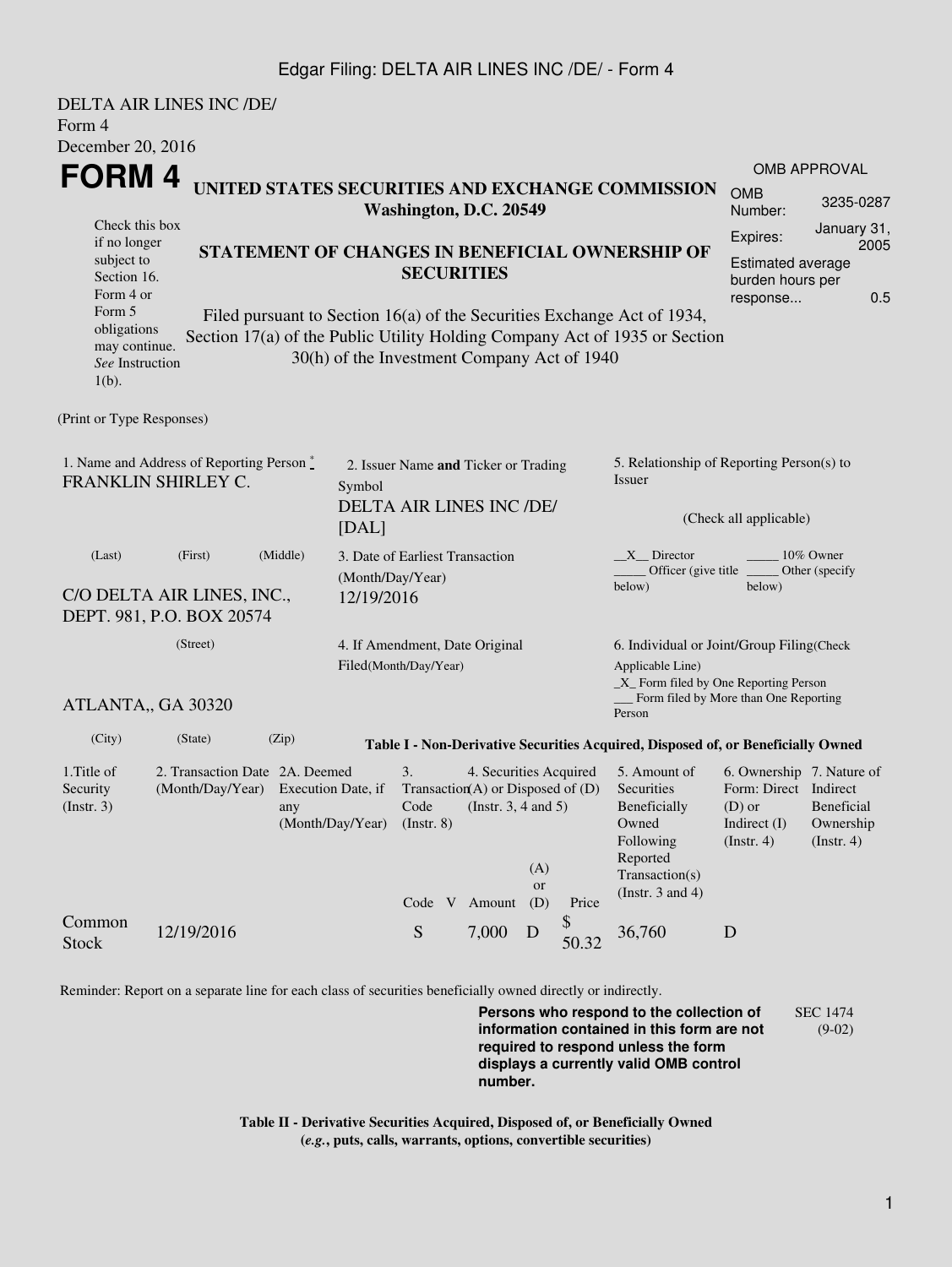## Edgar Filing: DELTA AIR LINES INC /DE/ - Form 4

|                                                                                                                                                   | DELTA AIR LINES INC /DE/                                              |                                                                                                                                                                                                                                                                              |                                                                  |                                                                            |  |                                                                                                            |                  |                                                                                      |                                                                                                                                                    |                                                                                                 |                                                    |  |
|---------------------------------------------------------------------------------------------------------------------------------------------------|-----------------------------------------------------------------------|------------------------------------------------------------------------------------------------------------------------------------------------------------------------------------------------------------------------------------------------------------------------------|------------------------------------------------------------------|----------------------------------------------------------------------------|--|------------------------------------------------------------------------------------------------------------|------------------|--------------------------------------------------------------------------------------|----------------------------------------------------------------------------------------------------------------------------------------------------|-------------------------------------------------------------------------------------------------|----------------------------------------------------|--|
| Form 4<br>December 20, 2016                                                                                                                       |                                                                       |                                                                                                                                                                                                                                                                              |                                                                  |                                                                            |  |                                                                                                            |                  |                                                                                      |                                                                                                                                                    |                                                                                                 |                                                    |  |
|                                                                                                                                                   |                                                                       |                                                                                                                                                                                                                                                                              |                                                                  |                                                                            |  |                                                                                                            |                  |                                                                                      |                                                                                                                                                    |                                                                                                 | <b>OMB APPROVAL</b>                                |  |
| FORM 4                                                                                                                                            |                                                                       |                                                                                                                                                                                                                                                                              |                                                                  | UNITED STATES SECURITIES AND EXCHANGE COMMISSION<br>Washington, D.C. 20549 |  |                                                                                                            |                  |                                                                                      |                                                                                                                                                    | <b>OMB</b><br>Number:                                                                           | 3235-0287                                          |  |
| Check this box<br>if no longer<br>subject to<br>Section 16.<br>Form 4 or<br>Form 5<br>obligations<br>may continue.<br>See Instruction<br>$1(b)$ . |                                                                       | STATEMENT OF CHANGES IN BENEFICIAL OWNERSHIP OF<br><b>SECURITIES</b><br>Filed pursuant to Section 16(a) of the Securities Exchange Act of 1934,<br>Section 17(a) of the Public Utility Holding Company Act of 1935 or Section<br>30(h) of the Investment Company Act of 1940 |                                                                  |                                                                            |  |                                                                                                            |                  |                                                                                      | January 31,<br>Expires:<br>2005<br><b>Estimated average</b><br>burden hours per<br>0.5<br>response                                                 |                                                                                                 |                                                    |  |
| (Print or Type Responses)                                                                                                                         |                                                                       |                                                                                                                                                                                                                                                                              |                                                                  |                                                                            |  |                                                                                                            |                  |                                                                                      |                                                                                                                                                    |                                                                                                 |                                                    |  |
| 1. Name and Address of Reporting Person *<br>FRANKLIN SHIRLEY C.<br>Symbol<br>[DAL]                                                               |                                                                       |                                                                                                                                                                                                                                                                              | 2. Issuer Name and Ticker or Trading<br>DELTA AIR LINES INC /DE/ |                                                                            |  |                                                                                                            |                  | 5. Relationship of Reporting Person(s) to<br><b>Issuer</b><br>(Check all applicable) |                                                                                                                                                    |                                                                                                 |                                                    |  |
| (Last)<br>(First)<br>(Middle)<br>(Month/Day/Year)<br>C/O DELTA AIR LINES, INC.,<br>12/19/2016<br>DEPT. 981, P.O. BOX 20574                        |                                                                       |                                                                                                                                                                                                                                                                              |                                                                  | 3. Date of Earliest Transaction                                            |  |                                                                                                            |                  |                                                                                      | $X$ Director<br>10% Owner<br>Officer (give title $\overline{\phantom{a}}$<br>Other (specify<br>below)<br>below)                                    |                                                                                                 |                                                    |  |
| (Street)                                                                                                                                          |                                                                       |                                                                                                                                                                                                                                                                              |                                                                  | 4. If Amendment, Date Original<br>Filed(Month/Day/Year)                    |  |                                                                                                            |                  |                                                                                      | 6. Individual or Joint/Group Filing(Check<br>Applicable Line)<br>$\_X$ Form filed by One Reporting Person<br>Form filed by More than One Reporting |                                                                                                 |                                                    |  |
| ATLANTA,, GA 30320                                                                                                                                |                                                                       |                                                                                                                                                                                                                                                                              |                                                                  |                                                                            |  |                                                                                                            |                  |                                                                                      | Person                                                                                                                                             |                                                                                                 |                                                    |  |
| (City)                                                                                                                                            | (State)                                                               | (Zip)                                                                                                                                                                                                                                                                        |                                                                  |                                                                            |  |                                                                                                            |                  |                                                                                      | Table I - Non-Derivative Securities Acquired, Disposed of, or Beneficially Owned                                                                   |                                                                                                 |                                                    |  |
| 1. Title of<br>Security<br>(Insert. 3)                                                                                                            | 2. Transaction Date 2A. Deemed<br>(Month/Day/Year) Execution Date, if | any                                                                                                                                                                                                                                                                          | (Month/Day/Year)                                                 | 3.<br>Code<br>(Insert 8)                                                   |  | 4. Securities Acquired<br>Transaction(A) or Disposed of $(D)$<br>(Instr. $3, 4$ and $5$ )<br>Code V Amount | (A)<br>or<br>(D) | Price                                                                                | 5. Amount of<br>Securities<br>Beneficially<br>Owned<br>Following<br>Reported<br>Transaction(s)<br>(Instr. $3$ and $4$ )                            | 6. Ownership 7. Nature of<br>Form: Direct Indirect<br>$(D)$ or<br>Indirect $(I)$<br>(Insert. 4) | <b>Beneficial</b><br>Ownership<br>$($ Instr. 4 $)$ |  |
| Common<br><b>Stock</b>                                                                                                                            | 12/19/2016                                                            |                                                                                                                                                                                                                                                                              |                                                                  | S                                                                          |  | 7,000                                                                                                      | D                | \$<br>50.32                                                                          | 36,760                                                                                                                                             | D                                                                                               |                                                    |  |

Reminder: Report on a separate line for each class of securities beneficially owned directly or indirectly.

**Persons who respond to the collection of information contained in this form are not required to respond unless the form displays a currently valid OMB control number.** SEC 1474 (9-02)

**Table II - Derivative Securities Acquired, Disposed of, or Beneficially Owned (***e.g.***, puts, calls, warrants, options, convertible securities)**